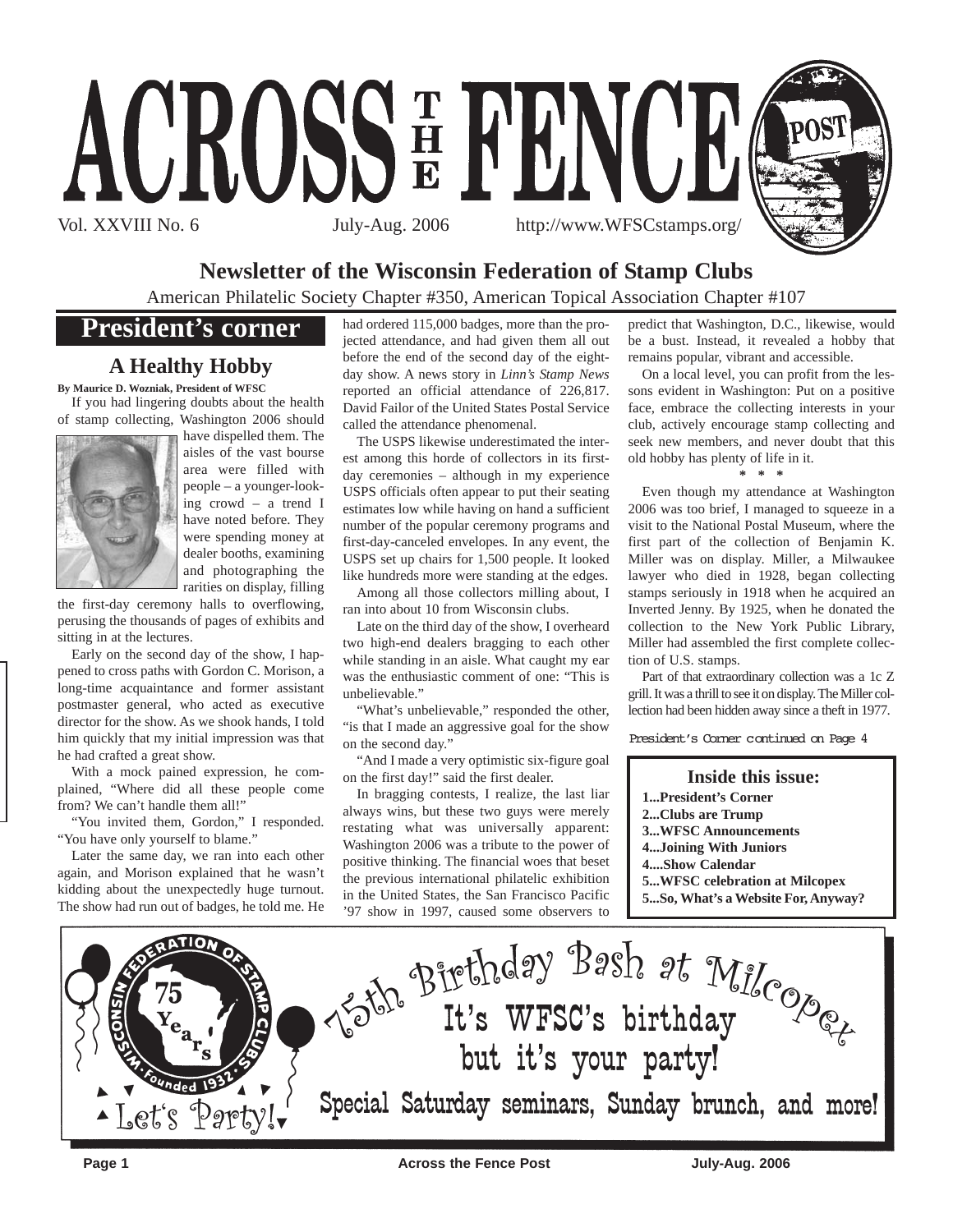

## **Newsletter of the Wisconsin Federation of Stamp Clubs**

American Philatelic Society Chapter #350, American Topical Association Chapter #107

## **President's corner**

## **A Healthy Hobby**

**By Maurice D. Wozniak, President of WFSC** If you had lingering doubts about the health



of stamp collecting, Washington 2006 should have dispelled them. The aisles of the vast bourse area were filled with people – a younger-looking crowd – a trend I have noted before. They were spending money at dealer booths, examining and photographing the rarities on display, filling

the first-day ceremony halls to overflowing, perusing the thousands of pages of exhibits and sitting in at the lectures.

Early on the second day of the show, I happened to cross paths with Gordon C. Morison, a long-time acquaintance and former assistant postmaster general, who acted as executive director for the show. As we shook hands, I told him quickly that my initial impression was that he had crafted a great show.

With a mock pained expression, he complained, "Where did all these people come from? We can't handle them all!"

"You invited them, Gordon," I responded. "You have only yourself to blame."

Later the same day, we ran into each other again, and Morison explained that he wasn't kidding about the unexpectedly huge turnout. The show had run out of badges, he told me. He

had ordered 115,000 badges, more than the projected attendance, and had given them all out before the end of the second day of the eightday show. A news story in *Linn's Stamp News* reported an official attendance of 226,817. David Failor of the United States Postal Service called the attendance phenomenal.

The USPS likewise underestimated the interest among this horde of collectors in its firstday ceremonies – although in my experience USPS officials often appear to put their seating estimates low while having on hand a sufficient number of the popular ceremony programs and first-day-canceled envelopes. In any event, the USPS set up chairs for 1,500 people. It looked like hundreds more were standing at the edges.

Among all those collectors milling about, I ran into about 10 from Wisconsin clubs.

Late on the third day of the show, I overheard two high-end dealers bragging to each other while standing in an aisle. What caught my ear was the enthusiastic comment of one: "This is unbelievable."

"What's unbelievable," responded the other, "is that I made an aggressive goal for the show on the second day."

"And I made a very optimistic six-figure goal on the first day!" said the first dealer.

In bragging contests, I realize, the last liar always wins, but these two guys were merely restating what was universally apparent: Washington 2006 was a tribute to the power of positive thinking. The financial woes that beset the previous international philatelic exhibition in the United States, the San Francisco Pacific '97 show in 1997, caused some observers to

predict that Washington, D.C., likewise, would be a bust. Instead, it revealed a hobby that remains popular, vibrant and accessible.

On a local level, you can profit from the lessons evident in Washington: Put on a positive face, embrace the collecting interests in your club, actively encourage stamp collecting and seek new members, and never doubt that this old hobby has plenty of life in it.

#### **\* \* \***

Even though my attendance at Washington 2006 was too brief, I managed to squeeze in a visit to the National Postal Museum, where the first part of the collection of Benjamin K. Miller was on display. Miller, a Milwaukee lawyer who died in 1928, began collecting stamps seriously in 1918 when he acquired an Inverted Jenny. By 1925, when he donated the collection to the New York Public Library, Miller had assembled the first complete collection of U.S. stamps.

Part of that extraordinary collection was a 1c Z grill. It was a thrill to see it on display. The Miller collection had been hidden away since a theft in 1977.

President's Corner continued on Page 4

### **Inside this issue:**

- **1...President's Corner**
- **2...Clubs are Trump**
- **3...WFSC Announcements**
- **4...Joining With Juniors**
- **4....Show Calendar**
- **5...WFSC celebration at Milcopex**
- **5...So, What's a Website For, Anyway?**



**Page 1 Across the Fence Post Across the Fence Post July-Aug. 2006**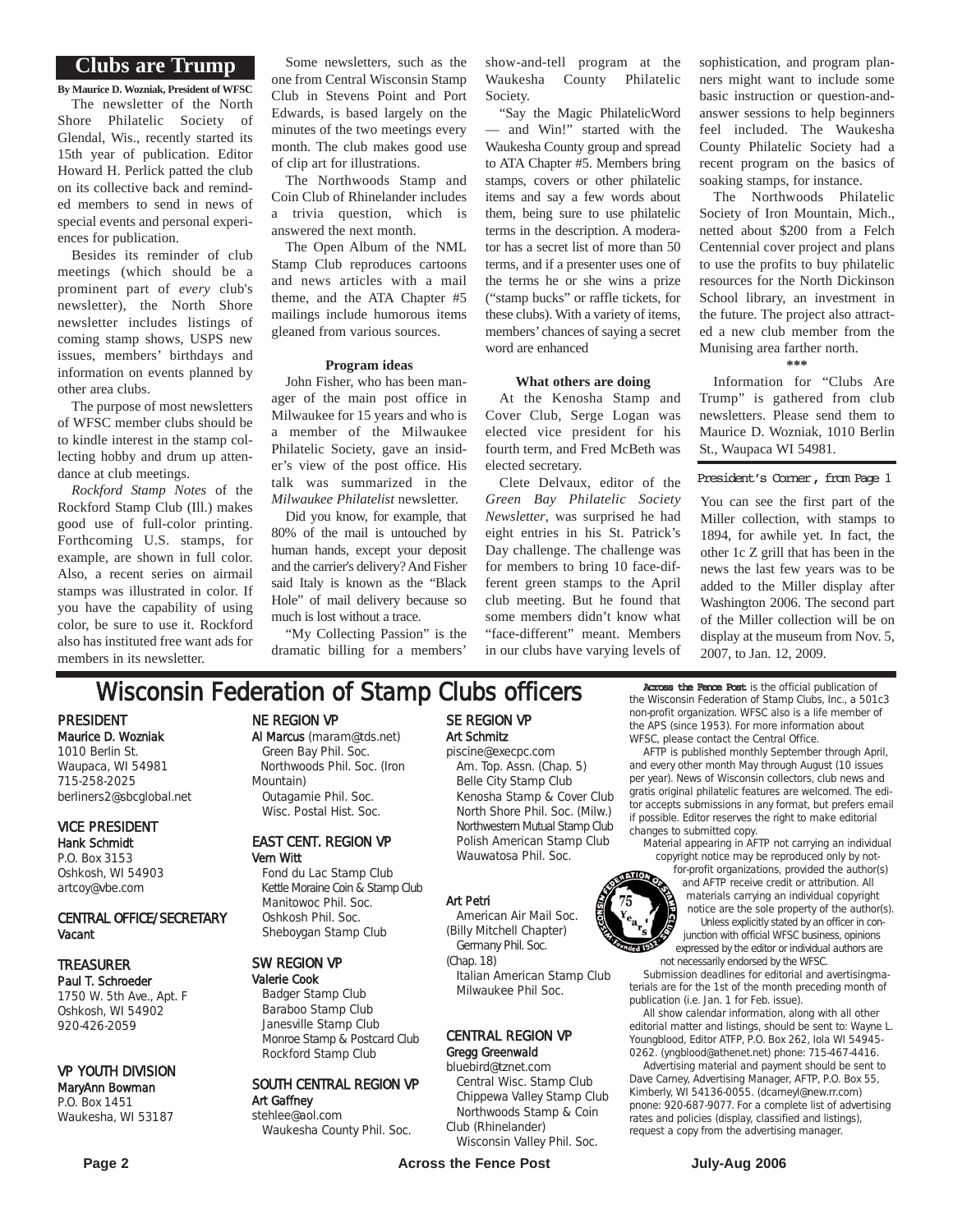### **Clubs are Trump**

**By Maurice D. Wozniak, President of WFSC** The newsletter of the North Shore Philatelic Society of Glendal, Wis., recently started its 15th year of publication. Editor Howard H. Perlick patted the club on its collective back and reminded members to send in news of special events and personal experiences for publication.

Besides its reminder of club meetings (which should be a prominent part of *every* club's newsletter), the North Shore newsletter includes listings of coming stamp shows, USPS new issues, members' birthdays and information on events planned by other area clubs.

The purpose of most newsletters of WFSC member clubs should be to kindle interest in the stamp collecting hobby and drum up attendance at club meetings.

*Rockford Stamp Notes* of the Rockford Stamp Club (Ill.) makes good use of full-color printing. Forthcoming U.S. stamps, for example, are shown in full color. Also, a recent series on airmail stamps was illustrated in color. If you have the capability of using color, be sure to use it. Rockford also has instituted free want ads for members in its newsletter.

Some newsletters, such as the one from Central Wisconsin Stamp Club in Stevens Point and Port Edwards, is based largely on the minutes of the two meetings every month. The club makes good use of clip art for illustrations.

The Northwoods Stamp and Coin Club of Rhinelander includes a trivia question, which is answered the next month.

The Open Album of the NML Stamp Club reproduces cartoons and news articles with a mail theme, and the ATA Chapter #5 mailings include humorous items gleaned from various sources.

### **Program ideas**

John Fisher, who has been manager of the main post office in Milwaukee for 15 years and who is a member of the Milwaukee Philatelic Society, gave an insider's view of the post office. His talk was summarized in the *Milwaukee Philatelist* newsletter.

Did you know, for example, that 80% of the mail is untouched by human hands, except your deposit and the carrier's delivery? And Fisher said Italy is known as the "Black Hole" of mail delivery because so much is lost without a trace.

"My Collecting Passion" is the dramatic billing for a members'

show-and-tell program at the Waukesha County Philatelic Society.

"Say the Magic PhilatelicWord — and Win!" started with the Waukesha County group and spread to ATA Chapter #5. Members bring stamps, covers or other philatelic items and say a few words about them, being sure to use philatelic terms in the description. A moderator has a secret list of more than 50 terms, and if a presenter uses one of the terms he or she wins a prize ("stamp bucks" or raffle tickets, for these clubs). With a variety of items, members' chances of saying a secret word are enhanced

#### **What others are doing**

At the Kenosha Stamp and Cover Club, Serge Logan was elected vice president for his fourth term, and Fred McBeth was elected secretary.

Clete Delvaux, editor of the *Green Bay Philatelic Society Newsletter*, was surprised he had eight entries in his St. Patrick's Day challenge. The challenge was for members to bring 10 face-different green stamps to the April club meeting. But he found that some members didn't know what "face-different" meant. Members in our clubs have varying levels of sophistication, and program planners might want to include some basic instruction or question-andanswer sessions to help beginners feel included. The Waukesha County Philatelic Society had a recent program on the basics of soaking stamps, for instance.

The Northwoods Philatelic Society of Iron Mountain, Mich., netted about \$200 from a Felch Centennial cover project and plans to use the profits to buy philatelic resources for the North Dickinson School library, an investment in the future. The project also attracted a new club member from the Munising area farther north.

**\*\*\***

Information for "Clubs Are Trump" is gathered from club newsletters. Please send them to Maurice D. Wozniak, 1010 Berlin St., Waupaca WI 54981.

President's Corner, from Page 1

You can see the first part of the Miller collection, with stamps to 1894, for awhile yet. In fact, the other 1c Z grill that has been in the news the last few years was to be added to the Miller display after Washington 2006. The second part of the Miller collection will be on display at the museum from Nov. 5, 2007, to Jan. 12, 2009.

## **Wisconsin Federation of Stamp Clubs officers** Across the Fence Post is the official publication of

PRESIDENT Maurice D. Wozniak 1010 Berlin St. Waupaca, WI 54981 715-258-2025 berliners2@sbcglobal.net

### VICE PRESIDENT Hank Schmidt P.O. Box 3153

Oshkosh, WI 54903 artcoy@vbe.com

### CENTRAL OFFICE/SECRETARY Vacant

### TREASURER

Paul T. Schroeder 1750 W. 5th Ave., Apt. F Oshkosh, WI 54902 920-426-2059

### VP YOUTH DIVISION

### MaryAnn Bowman P.O. Box 1451 Waukesha, WI 53187

NE REGION VP

Al Marcus (maram@tds.net) Green Bay Phil. Soc. Northwoods Phil. Soc. (Iron Mountain) Outagamie Phil. Soc. Wisc. Postal Hist. Soc.

### EAST CENT. REGION VP Vern Witt

Fond du Lac Stamp Club Kettle Moraine Coin & Stamp Club Manitowoc Phil. Soc. Oshkosh Phil. Soc. Sheboygan Stamp Club

### SW REGION VP

Valerie Cook Badger Stamp Club Baraboo Stamp Club Janesville Stamp Club Monroe Stamp & Postcard Club Rockford Stamp Club

SOUTH CENTRAL REGION VP Art Gaffney stehlee@aol.com

Waukesha County Phil. Soc.

### SE REGION VP Art Schmitz piscine@execpc.com

Am. Top. Assn. (Chap. 5) Belle City Stamp Club Kenosha Stamp & Cover Club North Shore Phil. Soc. (Milw.) Northwestern Mutual Stamp Club Polish American Stamp Club Wauwatosa Phil. Soc.

### Art Petri

American Air Mail Soc. (Billy Mitchell Chapter) Germany Phil. Soc.

(Chap. 18) Italian American Stamp Club Milwaukee Phil Soc.

#### CENTRAL REGION VP Gregg Greenwald

bluebird@tznet.com

Central Wisc. Stamp Club Chippewa Valley Stamp Club Northwoods Stamp & Coin Club (Rhinelander)

Wisconsin Valley Phil. Soc.

the Wisconsin Federation of Stamp Clubs, Inc., a 501c3 non-profit organization. WFSC also is a life member of the APS (since 1953). For more information about WFSC, please contact the Central Office.

AFTP is published monthly September through April, and every other month May through August (10 issues per year). News of Wisconsin collectors, club news and gratis original philatelic features are welcomed. The editor accepts submissions in any format, but prefers email if possible. Editor reserves the right to make editorial changes to submitted copy.

material appearing in AFTP not carrying an individual copyright notice may be reproduced only by not-

for-profit organizations, provided the author(s) and AFTP receive credit or attribution. All materials carrying an individual copyright notice are the sole property of the author(s). Unless explicitly stated by an officer in conjunction with official WFSC business, opinions expressed by the editor or individual authors are not the method with official WFSC business<br>expressed by the editor or individual<br>not necessarily endorsed by the WFSC.

Submission deadlines for editorial and avertisingmaterials are for the 1st of the month preceding month of publication (i.e. Jan. 1 for Feb. issue).

All show calendar information, along with all other editorial matter and listings, should be sent to: Wayne L. Youngblood, Editor ATFP, P.O. Box 262, Iola WI 54945- 0262. (yngblood@athenet.net) phone: 715-467-4416.

Advertising material and payment should be sent to Dave Carney, Advertising Manager, AFTP, P.O. Box 55, Kimberly, WI 54136-0055. (dcarneyl@new.rr.com) pnone: 920-687-9077. For a complete list of advertising rates and policies (display, classified and listings), request a copy from the advertising manager.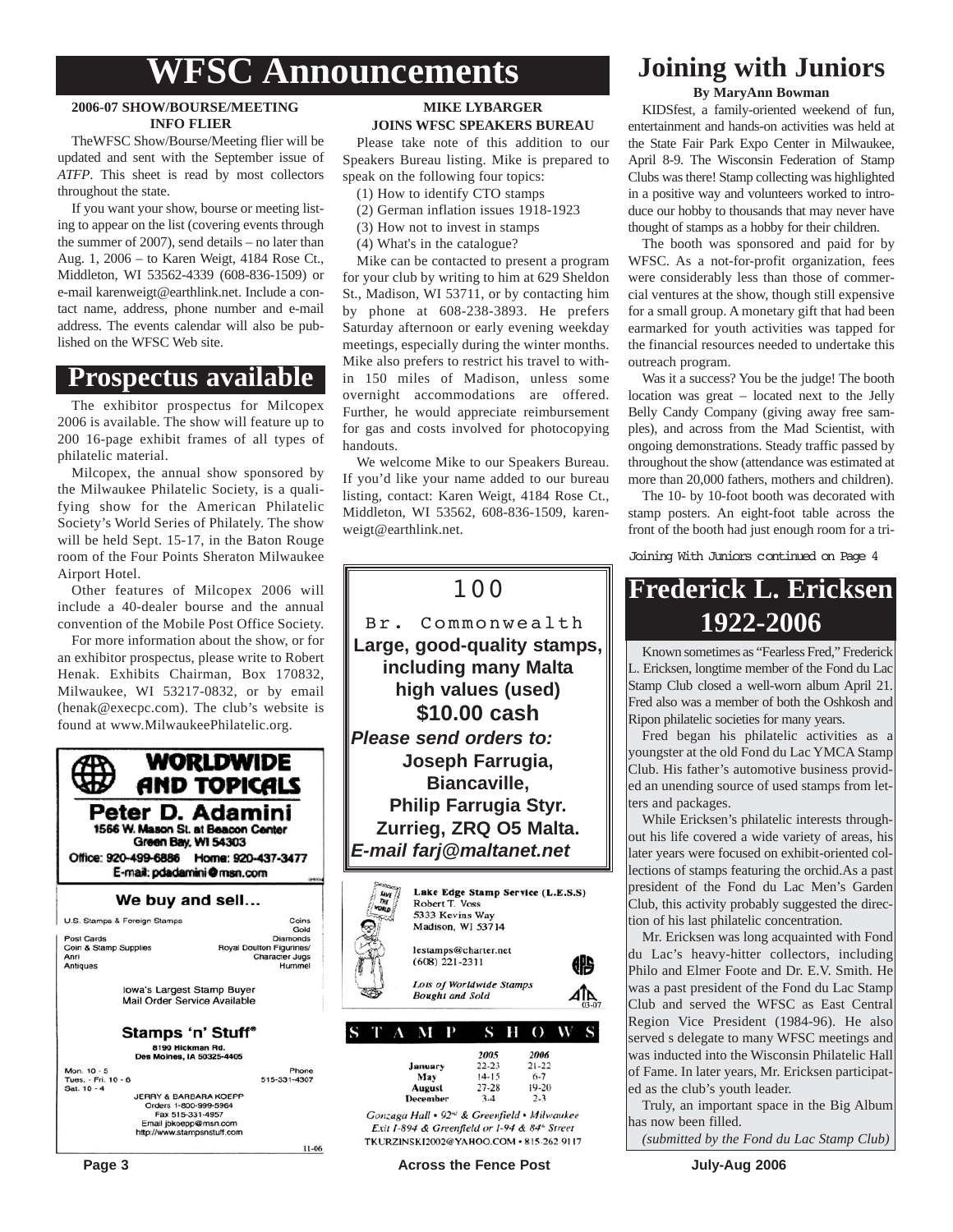## **WFSC Announcements**

### **2006-07 SHOW/BOURSE/MEETING INFO FLIER**

TheWFSC Show/Bourse/Meeting flier will be updated and sent with the September issue of *ATFP*. This sheet is read by most collectors throughout the state.

If you want your show, bourse or meeting listing to appear on the list (covering events through the summer of 2007), send details – no later than Aug. 1, 2006 – to Karen Weigt, 4184 Rose Ct., Middleton, WI 53562-4339 (608-836-1509) or e-mail karenweigt@earthlink.net. Include a contact name, address, phone number and e-mail address. The events calendar will also be published on the WFSC Web site.

## **Prospectus available**

The exhibitor prospectus for Milcopex 2006 is available. The show will feature up to 200 16-page exhibit frames of all types of philatelic material.

Milcopex, the annual show sponsored by the Milwaukee Philatelic Society, is a qualifying show for the American Philatelic Society's World Series of Philately. The show will be held Sept. 15-17, in the Baton Rouge room of the Four Points Sheraton Milwaukee Airport Hotel.

Other features of Milcopex 2006 will include a 40-dealer bourse and the annual convention of the Mobile Post Office Society.

For more information about the show, or for an exhibitor prospectus, please write to Robert Henak. Exhibits Chairman, Box 170832, Milwaukee, WI 53217-0832, or by email (henak@execpc.com). The club's website is found at www.MilwaukeePhilatelic.org.

**WORLDWIDE** AND TOPICALS Peter D. Adamini 1566 W. Mason St. at Beacon Center Green Bay, WI 54303 Office: 920-499-6886 Home: 920-437-3477 E-mail: pdadamini@msn.com We buy and sell... U.S. Stamps & Foreign Stamp Coins<br>Gold Post Cards **Diamonds** Coin & Stamp Supplies Royal Doulton Figurines Anri<br>Antiques Cha unnes.<br>PrJugs Hummel Iowa's Largest Stamp Buyer Mail Order Service Available **Stamps 'n' Stuff® 8190 Hickman Rd.**<br>Des Moines, IA 50325-4405 Mon. 10 - 5<br>Tues. - Fri. 10 - 6<br>Sat. 10 - 4 Phone 515-331-4307 JERRY & BARBARA KOEPP<br>Orders 1-800-999-5964<br>Fax 515-331-4957 Email jbkoepp@msn.com<br>http://www.stampsnstuff.com  $11-06$ 

### **MIKE LYBARGER JOINS WFSC SPEAKERS BUREAU**

Please take note of this addition to our Speakers Bureau listing. Mike is prepared to speak on the following four topics:

- (1) How to identify CTO stamps
- (2) German inflation issues 1918-1923
- (3) How not to invest in stamps
- (4) What's in the catalogue?

Mike can be contacted to present a program for your club by writing to him at 629 Sheldon St., Madison, WI 53711, or by contacting him by phone at 608-238-3893. He prefers Saturday afternoon or early evening weekday meetings, especially during the winter months. Mike also prefers to restrict his travel to within 150 miles of Madison, unless some overnight accommodations are offered. Further, he would appreciate reimbursement for gas and costs involved for photocopying handouts.

We welcome Mike to our Speakers Bureau. If you'd like your name added to our bureau listing, contact: Karen Weigt, 4184 Rose Ct., Middleton, WI 53562, 608-836-1509, karenweigt@earthlink.net.

## 100

Br. Commonwealth **Large, good-quality stamps, including many Malta high values (used) \$10.00 cash** *Please send orders to:* **Joseph Farrugia, Biancaville, Philip Farrugia Styr. Zurrieg, ZRQ O5 Malta.** *E-mail farj@maltanet.net*



TKURZINSKI2002@YAHOO.COM · 815-262-9117

### **By MaryAnn Bowman Joining with Juniors**

KIDSfest, a family-oriented weekend of fun, entertainment and hands-on activities was held at the State Fair Park Expo Center in Milwaukee, April 8-9. The Wisconsin Federation of Stamp Clubs was there! Stamp collecting was highlighted in a positive way and volunteers worked to introduce our hobby to thousands that may never have thought of stamps as a hobby for their children.

The booth was sponsored and paid for by WFSC. As a not-for-profit organization, fees were considerably less than those of commercial ventures at the show, though still expensive for a small group. A monetary gift that had been earmarked for youth activities was tapped for the financial resources needed to undertake this outreach program.

Was it a success? You be the judge! The booth location was great – located next to the Jelly Belly Candy Company (giving away free samples), and across from the Mad Scientist, with ongoing demonstrations. Steady traffic passed by throughout the show (attendance was estimated at more than 20,000 fathers, mothers and children).

The 10- by 10-foot booth was decorated with stamp posters. An eight-foot table across the front of the booth had just enough room for a tri-

Joining With Juniors continued on Page 4

## **Frederick L. Ericksen 1922-2006**

Known sometimes as "Fearless Fred," Frederick L. Ericksen, longtime member of the Fond du Lac Stamp Club closed a well-worn album April 21. Fred also was a member of both the Oshkosh and Ripon philatelic societies for many years.

Fred began his philatelic activities as a youngster at the old Fond du Lac YMCA Stamp Club. His father's automotive business provided an unending source of used stamps from letters and packages.

While Ericksen's philatelic interests throughout his life covered a wide variety of areas, his later years were focused on exhibit-oriented collections of stamps featuring the orchid.As a past president of the Fond du Lac Men's Garden Club, this activity probably suggested the direction of his last philatelic concentration.

Mr. Ericksen was long acquainted with Fond du Lac's heavy-hitter collectors, including Philo and Elmer Foote and Dr. E.V. Smith. He was a past president of the Fond du Lac Stamp Club and served the WFSC as East Central Region Vice President (1984-96). He also served s delegate to many WFSC meetings and was inducted into the Wisconsin Philatelic Hall of Fame. In later years, Mr. Ericksen participated as the club's youth leader.

Truly, an important space in the Big Album has now been filled.

*(submitted by the Fond du Lac Stamp Club)*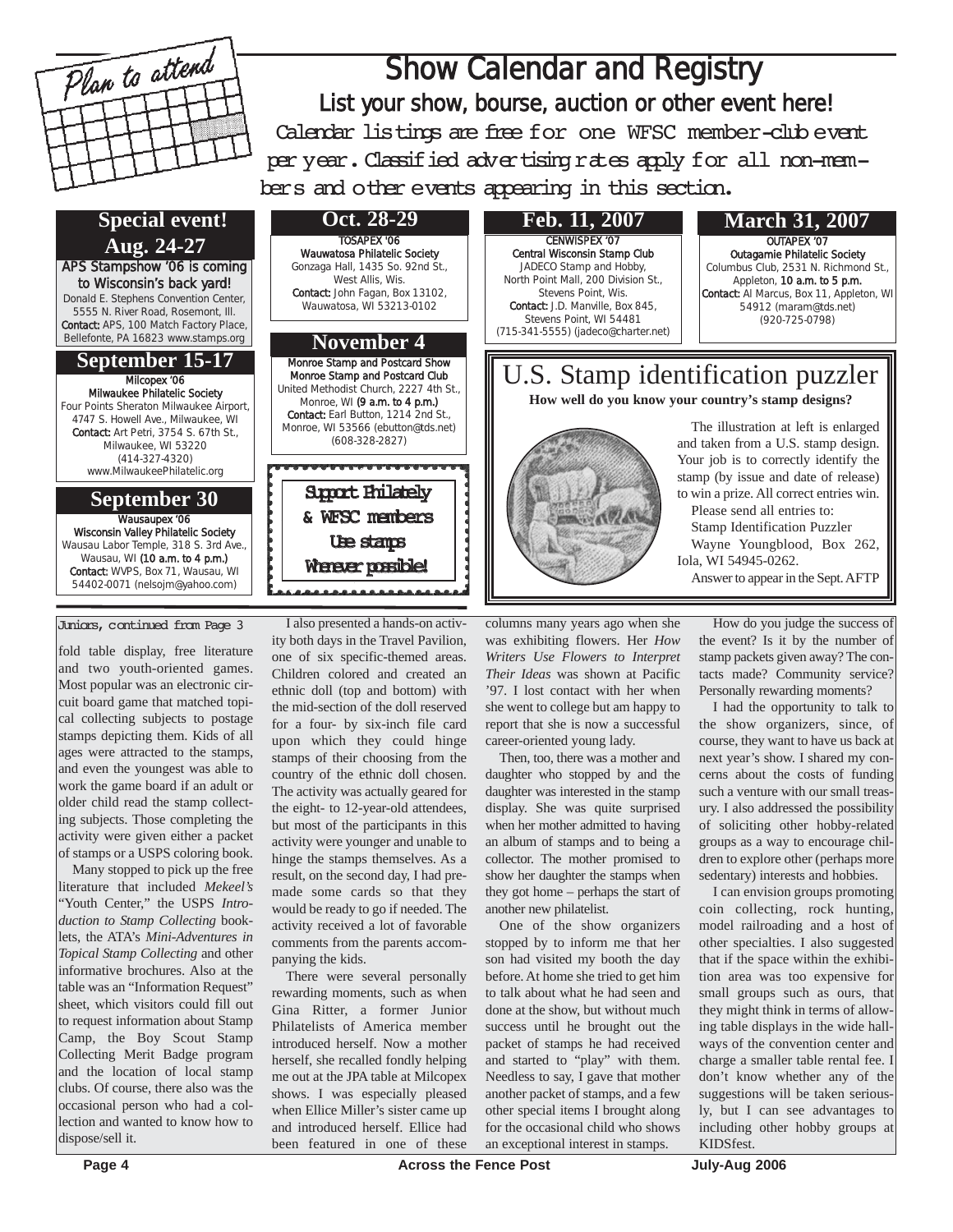

## Show Calendar and Registry List your show, bourse, auction or other event here! Calendar listings are free for one WFSC member-club event per year. Classified advertising rates apply for all non-mem-

bers and other events appearing in this section.

**Special event! Aug. 24-27 September 15-17** United Methodist Church, 2227 4th St., APS Stampshow '06 is coming to Wisconsin's back yard! Donald E. Stephens Convention Center, 5555 N. River Road, Rosemont, Ill. Contact: APS, 100 Match Factory Place, Bellefonte, PA 16823 www.stamps.org Milcopex '06 Milwaukee Philatelic Society Four Points Sheraton Milwaukee Airport, 4747 S. Howell Ave., Milwaukee, WI Contact: Art Petri, 3754 S. 67th St., Milwaukee, WI 53220 (414-327-4320) www.MilwaukeePhilatelic.org

### **September 30**

Wausaupex '06 Wisconsin Valley Philatelic Society Wausau Labor Temple, 318 S. 3rd Ave., Wausau, WI (10 a.m. to 4 p.m.) Contact: WVPS, Box 71, Wausau, WI 54402-0071 (nelsojm@yahoo.com)

### Juniors, continued from Page 3

fold table display, free literature and two youth-oriented games. Most popular was an electronic circuit board game that matched topical collecting subjects to postage stamps depicting them. Kids of all ages were attracted to the stamps, and even the youngest was able to work the game board if an adult or older child read the stamp collecting subjects. Those completing the activity were given either a packet of stamps or a USPS coloring book.

Many stopped to pick up the free literature that included *Mekeel's* "Youth Center," the USPS *Introduction to Stamp Collecting* booklets, the ATA's *Mini-Adventures in Topical Stamp Collecting* and other informative brochures. Also at the table was an "Information Request" sheet, which visitors could fill out to request information about Stamp Camp, the Boy Scout Stamp Collecting Merit Badge program and the location of local stamp clubs. Of course, there also was the occasional person who had a collection and wanted to know how to dispose/sell it.

I also presented a hands-on activity both days in the Travel Pavilion, one of six specific-themed areas. Children colored and created an ethnic doll (top and bottom) with the mid-section of the doll reserved for a four- by six-inch file card upon which they could hinge stamps of their choosing from the country of the ethnic doll chosen. The activity was actually geared for the eight- to 12-year-old attendees, but most of the participants in this activity were younger and unable to hinge the stamps themselves. As a result, on the second day, I had premade some cards so that they would be ready to go if needed. The activity received a lot of favorable comments from the parents accompanying the kids.

**November 4**

Monroe Stamp and Postcard Show Monroe Stamp and Postcard Club

Monroe, WI (9 a.m. to 4 p.m.) Contact: Earl Button, 1214 2nd St., Monroe, WI 53566 (ebutton@tds.net) (608-328-2827)

> Support Philately & WFSC members Use stamps Whener possible!

TOSAPEX '06 Wauwatosa Philatelic Society Gonzaga Hall, 1435 So. 92nd St., West Allis, Wis. Contact: John Fagan, Box 13102, Wauwatosa, WI 53213-0102

**Oct. 28-29**

There were several personally rewarding moments, such as when Gina Ritter, a former Junior Philatelists of America member introduced herself. Now a mother herself, she recalled fondly helping me out at the JPA table at Milcopex shows. I was especially pleased when Ellice Miller's sister came up and introduced herself. Ellice had been featured in one of these

CENWISPEX '07 Central Wisconsin Stamp Club JADECO Stamp and Hobby, North Point Mall, 200 Division St., Stevens Point, Wis. Contact: J.D. Manville, Box 845, Stevens Point, WI 54481 (715-341-5555) (jadeco@charter.net)

### **Feb. 11, 2007 March 31, 2007**

OUTAPEX '07 Outagamie Philatelic Society Columbus Club, 2531 N. Richmond St., Appleton, 10 a.m. to 5 p.m. Contact: Al Marcus, Box 11, Appleton, WI 54912 (maram@tds.net) (920-725-0798)

U.S. Stamp identification puzzler The illustration at left is enlarged and taken from a U.S. stamp design. Your job is to correctly identify the stamp (by issue and date of release) to win a prize. All correct entries win. **How well do you know your country's stamp designs?**

Please send all entries to: Stamp Identification Puzzler Wayne Youngblood, Box 262, Iola, WI 54945-0262. Answer to appear in the Sept. AFTP

columns many years ago when she was exhibiting flowers. Her *How Writers Use Flowers to Interpret Their Ideas* was shown at Pacific '97. I lost contact with her when she went to college but am happy to report that she is now a successful career-oriented young lady.

Then, too, there was a mother and daughter who stopped by and the daughter was interested in the stamp display. She was quite surprised when her mother admitted to having an album of stamps and to being a collector. The mother promised to show her daughter the stamps when they got home – perhaps the start of another new philatelist.

One of the show organizers stopped by to inform me that her son had visited my booth the day before. At home she tried to get him to talk about what he had seen and done at the show, but without much success until he brought out the packet of stamps he had received and started to "play" with them. Needless to say, I gave that mother another packet of stamps, and a few other special items I brought along for the occasional child who shows an exceptional interest in stamps.

How do you judge the success of the event? Is it by the number of stamp packets given away? The contacts made? Community service? Personally rewarding moments?

I had the opportunity to talk to the show organizers, since, of course, they want to have us back at next year's show. I shared my concerns about the costs of funding such a venture with our small treasury. I also addressed the possibility of soliciting other hobby-related groups as a way to encourage children to explore other (perhaps more sedentary) interests and hobbies.

I can envision groups promoting coin collecting, rock hunting, model railroading and a host of other specialties. I also suggested that if the space within the exhibition area was too expensive for small groups such as ours, that they might think in terms of allowing table displays in the wide hallways of the convention center and charge a smaller table rental fee. I don't know whether any of the suggestions will be taken seriously, but I can see advantages to including other hobby groups at KIDSfest.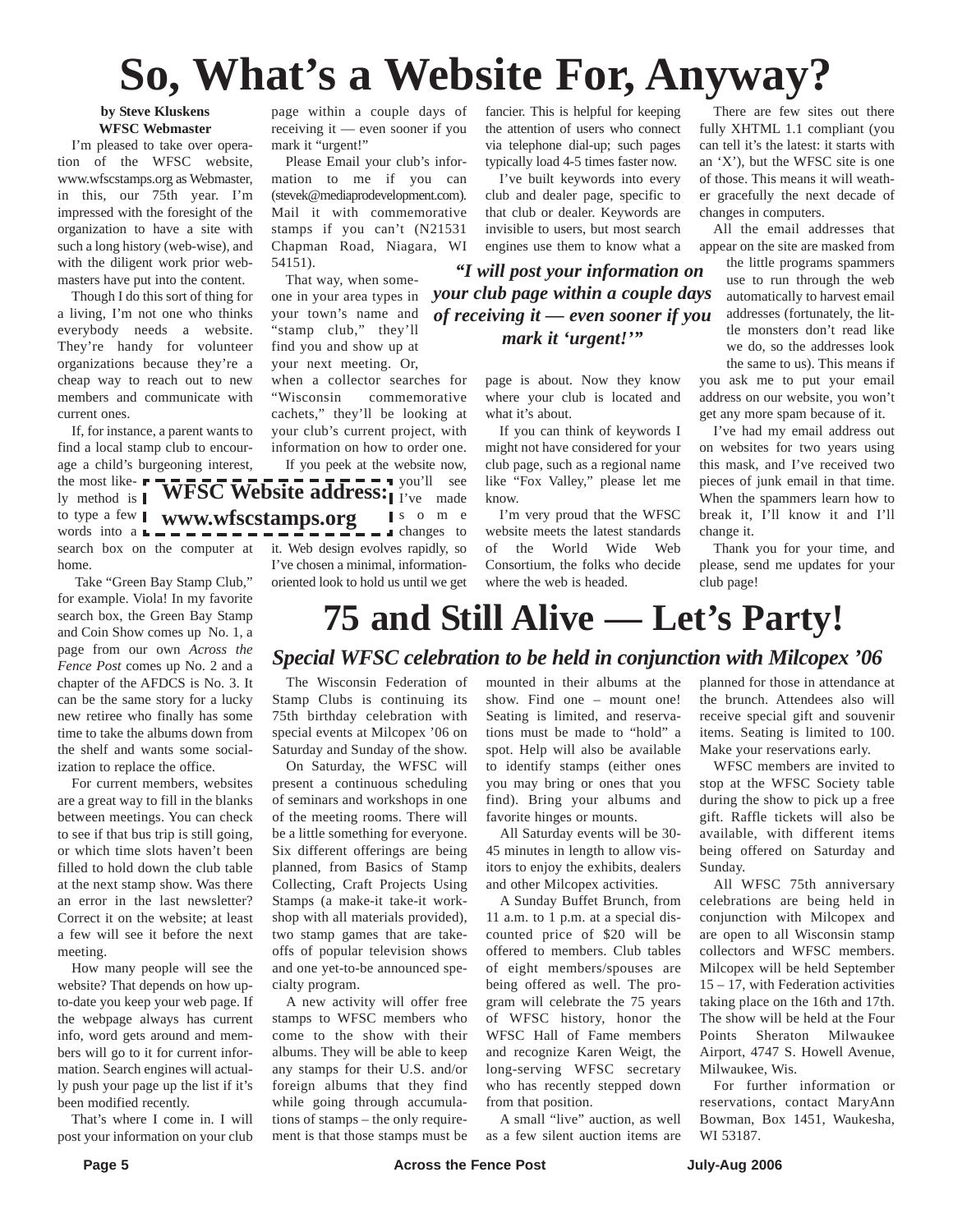# **So, What's a Website For, Anyway?**

### **by Steve Kluskens WFSC Webmaster**

I'm pleased to take over operation of the WFSC website, www.wfscstamps.org as Webmaster, in this, our 75th year. I'm impressed with the foresight of the organization to have a site with such a long history (web-wise), and with the diligent work prior webmasters have put into the content.

Though I do this sort of thing for a living, I'm not one who thinks everybody needs a website. They're handy for volunteer organizations because they're a cheap way to reach out to new members and communicate with current ones.

If, for instance, a parent wants to find a local stamp club to encourage a child's burgeoning interest,

the most likely method is to type a few **I** www.wfscstamps.org words into  $a \rightharpoonup - - -$ search box on the computer at it. Web design evolves rapidly, so home.

Take "Green Bay Stamp Club," for example. Viola! In my favorite search box, the Green Bay Stamp and Coin Show comes up No. 1, a page from our own *Across the Fence Post* comes up No. 2 and a chapter of the AFDCS is No. 3. It can be the same story for a lucky new retiree who finally has some time to take the albums down from the shelf and wants some socialization to replace the office.

For current members, websites are a great way to fill in the blanks between meetings. You can check to see if that bus trip is still going, or which time slots haven't been filled to hold down the club table at the next stamp show. Was there an error in the last newsletter? Correct it on the website; at least a few will see it before the next meeting.

How many people will see the website? That depends on how upto-date you keep your web page. If the webpage always has current info, word gets around and members will go to it for current information. Search engines will actually push your page up the list if it's been modified recently.

That's where I come in. I will post your information on your club

page within a couple days of receiving it — even sooner if you mark it "urgent!"

Please Email your club's information to me if you can (stevek@mediaprodevelopment.com). Mail it with commemorative stamps if you can't (N21531 Chapman Road, Niagara, WI 54151).

That way, when someone in your area types in your town's name and "stamp club," they'll find you and show up at your next meeting. Or, when a collector searches for

"Wisconsin commemorative cachets," they'll be looking at your club's current project, with information on how to order one. If you peek at the website now,

you'll see **WFSC Website address:** I I've made some  $\cdots$   $\cdots$   $\cdots$   $\cdots$   $\cdots$   $\cdots$ I've chosen a minimal, informationoriented look to hold us until we get fancier. This is helpful for keeping the attention of users who connect via telephone dial-up; such pages typically load 4-5 times faster now.

I've built keywords into every club and dealer page, specific to that club or dealer. Keywords are invisible to users, but most search engines use them to know what a

### *"I will post your information on your club page within a couple days of receiving it — even sooner if you mark it 'urgent!'"*

page is about. Now they know where your club is located and what it's about.

If you can think of keywords I might not have considered for your club page, such as a regional name like "Fox Valley," please let me know.

I'm very proud that the WFSC website meets the latest standards of the World Wide Web Consortium, the folks who decide where the web is headed.

There are few sites out there fully XHTML 1.1 compliant (you can tell it's the latest: it starts with an 'X'), but the WFSC site is one of those. This means it will weather gracefully the next decade of changes in computers.

All the email addresses that appear on the site are masked from

the little programs spammers use to run through the web automatically to harvest email addresses (fortunately, the little monsters don't read like we do, so the addresses look the same to us). This means if

you ask me to put your email address on our website, you won't get any more spam because of it.

I've had my email address out on websites for two years using this mask, and I've received two pieces of junk email in that time. When the spammers learn how to break it, I'll know it and I'll change it.

Thank you for your time, and please, send me updates for your club page!

# **75 and Still Alive — Let's Party!**

### *Special WFSC celebration to be held in conjunction with Milcopex '06*

The Wisconsin Federation of Stamp Clubs is continuing its 75th birthday celebration with special events at Milcopex '06 on Saturday and Sunday of the show.

On Saturday, the WFSC will present a continuous scheduling of seminars and workshops in one of the meeting rooms. There will be a little something for everyone. Six different offerings are being planned, from Basics of Stamp Collecting, Craft Projects Using Stamps (a make-it take-it workshop with all materials provided), two stamp games that are takeoffs of popular television shows and one yet-to-be announced specialty program.

A new activity will offer free stamps to WFSC members who come to the show with their albums. They will be able to keep any stamps for their U.S. and/or foreign albums that they find while going through accumulations of stamps – the only requirement is that those stamps must be mounted in their albums at the show. Find one – mount one! Seating is limited, and reservations must be made to "hold" a spot. Help will also be available to identify stamps (either ones you may bring or ones that you find). Bring your albums and favorite hinges or mounts.

All Saturday events will be 30- 45 minutes in length to allow visitors to enjoy the exhibits, dealers and other Milcopex activities.

A Sunday Buffet Brunch, from 11 a.m. to 1 p.m. at a special discounted price of \$20 will be offered to members. Club tables of eight members/spouses are being offered as well. The program will celebrate the 75 years of WFSC history, honor the WFSC Hall of Fame members and recognize Karen Weigt, the long-serving WFSC secretary who has recently stepped down from that position.

A small "live" auction, as well as a few silent auction items are planned for those in attendance at the brunch. Attendees also will receive special gift and souvenir items. Seating is limited to 100. Make your reservations early.

WFSC members are invited to stop at the WFSC Society table during the show to pick up a free gift. Raffle tickets will also be available, with different items being offered on Saturday and Sunday.

All WFSC 75th anniversary celebrations are being held in conjunction with Milcopex and are open to all Wisconsin stamp collectors and WFSC members. Milcopex will be held September 15 – 17, with Federation activities taking place on the 16th and 17th. The show will be held at the Four Points Sheraton Milwaukee Airport, 4747 S. Howell Avenue, Milwaukee, Wis.

For further information or reservations, contact MaryAnn Bowman, Box 1451, Waukesha, WI 53187.